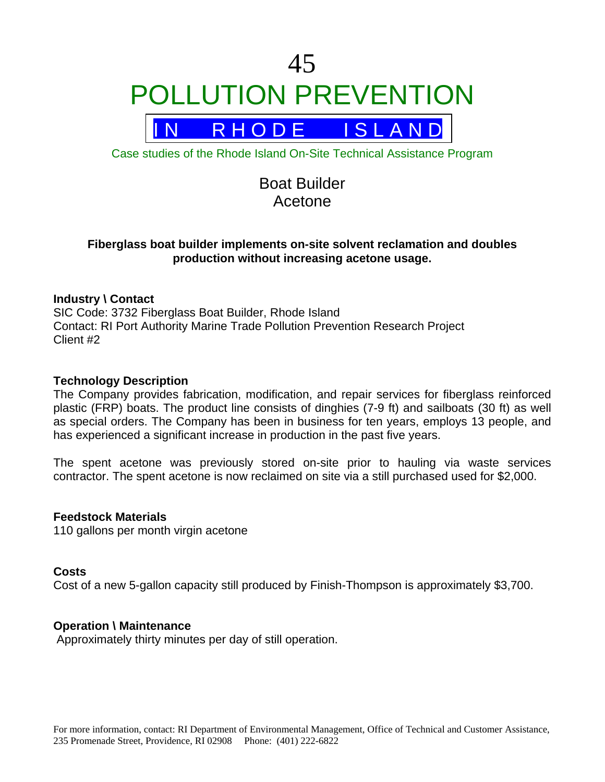

R H O D E I S L A N D

Case studies of the Rhode Island On-Site Technical Assistance Program

# Boat Builder Acetone

# **Fiberglass boat builder implements on-site solvent reclamation and doubles production without increasing acetone usage.**

## **Industry \ Contact**

SIC Code: 3732 Fiberglass Boat Builder, Rhode Island Contact: RI Port Authority Marine Trade Pollution Prevention Research Project Client #2

## **Technology Description**

The Company provides fabrication, modification, and repair services for fiberglass reinforced plastic (FRP) boats. The product line consists of dinghies (7-9 ft) and sailboats (30 ft) as well as special orders. The Company has been in business for ten years, employs 13 people, and has experienced a significant increase in production in the past five years.

The spent acetone was previously stored on-site prior to hauling via waste services contractor. The spent acetone is now reclaimed on site via a still purchased used for \$2,000.

## **Feedstock Materials**

110 gallons per month virgin acetone

#### **Costs**

Cost of a new 5-gallon capacity still produced by Finish-Thompson is approximately \$3,700.

#### **Operation \ Maintenance**

Approximately thirty minutes per day of still operation.